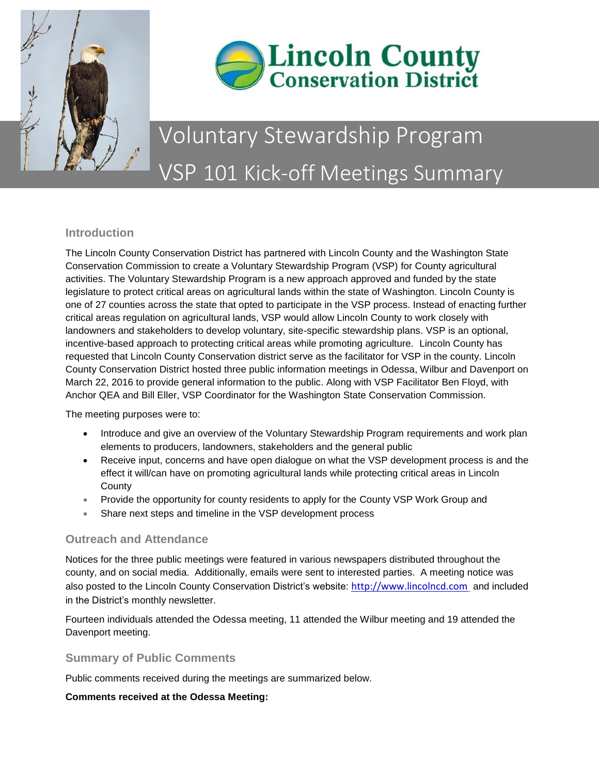



# Voluntary Stewardship Program VSP 101 Kick-off Meetings Summary

## **Introduction**

The Lincoln County Conservation District has partnered with Lincoln County and the Washington State Conservation Commission to create a Voluntary Stewardship Program (VSP) for County agricultural activities. The Voluntary Stewardship Program is a new approach approved and funded by the state legislature to protect critical areas on agricultural lands within the state of Washington. Lincoln County is one of 27 counties across the state that opted to participate in the VSP process. Instead of enacting further critical areas regulation on agricultural lands, VSP would allow Lincoln County to work closely with landowners and stakeholders to develop voluntary, site-specific stewardship plans. VSP is an optional, incentive-based approach to protecting critical areas while promoting agriculture. Lincoln County has requested that Lincoln County Conservation district serve as the facilitator for VSP in the county. Lincoln County Conservation District hosted three public information meetings in Odessa, Wilbur and Davenport on March 22, 2016 to provide general information to the public. Along with VSP Facilitator Ben Floyd, with Anchor QEA and Bill Eller, VSP Coordinator for the Washington State Conservation Commission.

The meeting purposes were to:

- Introduce and give an overview of the Voluntary Stewardship Program requirements and work plan elements to producers, landowners, stakeholders and the general public
- Receive input, concerns and have open dialogue on what the VSP development process is and the effect it will/can have on promoting agricultural lands while protecting critical areas in Lincoln **County**
- Provide the opportunity for county residents to apply for the County VSP Work Group and
- Share next steps and timeline in the VSP development process

## **Outreach and Attendance**

Notices for the three public meetings were featured in various newspapers distributed throughout the county, and on social media. Additionally, emails were sent to interested parties. A meeting notice was also posted to the Lincoln County Conservation District's website: [http://www.lincolncd.com](http://www.lincolncd.com/) and included in the District's monthly newsletter.

Fourteen individuals attended the Odessa meeting, 11 attended the Wilbur meeting and 19 attended the Davenport meeting.

## **Summary of Public Comments**

Public comments received during the meetings are summarized below.

#### **Comments received at the Odessa Meeting:**